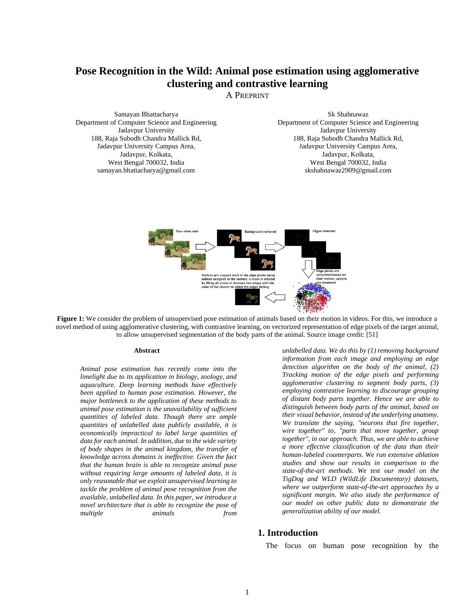# **Pose Recognition in the Wild: Animal pose estimation using agglomerative clustering and contrastive learning**

A PREPRINT

Samayan Bhattacharya Department of Computer Science and Engineering Jadavpur University 188, Raja Subodh Chandra Mallick Rd, Jadavpur University Campus Area, Jadavpur, Kolkata, West Bengal 700032, India [samayan.bhattacharya@gmail.com](mailto:samayan.bhattacharya@gmail.com)

Sk Shahnawaz Department of Computer Science and Engineering Jadavpur University 188, Raja Subodh Chandra Mallick Rd, Jadavpur University Campus Area, Jadavpur, Kolkata, West Bengal 700032, India skshahnawaz2909@gmail.com



**Figure 1:** We consider the problem of unsupervised pose estimation of animals based on their motion in videos. For this, we introduce a novel method of using agglomerative clustering, with contrastive learning, on vectorized representation of edge pixels of the target animal, to allow unsupervised segmentation of the body parts of the animal. Source image credit: [51]

#### **Abstract**

*Animal pose estimation has recently come into the limelight due to its application in biology, zoology, and aquaculture. Deep learning methods have effectively been applied to human pose estimation. However, the major bottleneck to the application of these methods to animal pose estimation is the unavailability of sufficient quantities of labeled data. Though there are ample quantities of unlabelled data publicly available, it is economically impractical to label large quantities of data for each animal. In addition, due to the wide variety of body shapes in the animal kingdom, the transfer of knowledge across domains is ineffective. Given the fact that the human brain is able to recognize animal pose without requiring large amounts of labeled data, it is only reasonable that we exploit unsupervised learning to tackle the problem of animal pose recognition from the available, unlabelled data. In this paper, we introduce a novel architecture that is able to recognize the pose of multiple animals from*

*unlabelled data. We do this by (1) removing background information from each image and employing an edge detection algorithm on the body of the animal, (2) Tracking motion of the edge pixels and performing agglomerative clustering to segment body parts, (3) employing contrastive learning to discourage grouping of distant body parts together. Hence we are able to distinguish between body parts of the animal, based on their visual behavior, instead of the underlying anatomy. We translate the saying, "neurons that fire together, wire together" to, "parts that move together, group together", in our approach. Thus, we are able to achieve a more effective classification of the data than their human-labeled counterparts. We run extensive ablation studies and show our results in comparison to the state-of-the-art methods. We test our model on the TigDog and WLD (WildLife Documentary) datasets, where we outperform state-of-the-art approaches by a significant margin. We also study the performance of our model on other public data to demonstrate the generalization ability of our model.*

#### **1. Introduction**

The focus on human pose recognition by the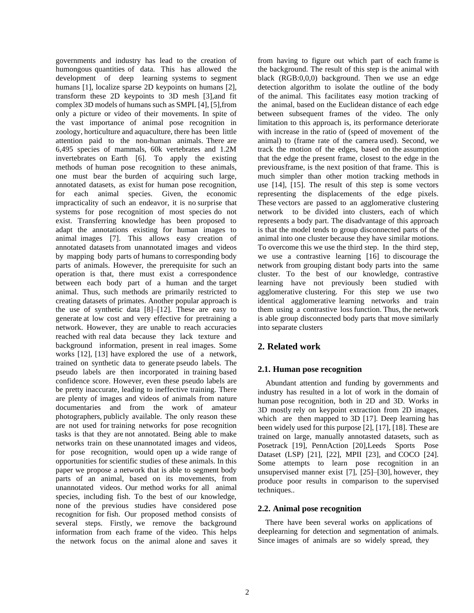governments and industry has lead to the creation of humongous quantities of data. This has allowed the development of deep learning systems to segment humans [1], localize sparse 2D keypoints on humans [2], transform these 2D keypoints to 3D mesh [3],and fit complex 3D models of humans such as SMPL [4], [5],from only a picture or video of their movements. In spite of the vast importance of animal pose recognition in zoology, horticulture and aquaculture, there has been little attention paid to the non-human animals. There are 6,495 species of mammals, 60k vertebrates and 1.2M invertebrates on Earth [6]. To apply the existing methods of human pose recognition to these animals, one must bear the burden of acquiring such large, annotated datasets, as exist for human pose recognition, for each animal species. Given, the economic impracticality of such an endeavor, it is no surprise that systems for pose recognition of most species do not exist. Transferring knowledge has been proposed to adapt the annotations existing for human images to animal images [7]. This allows easy creation of annotated datasets from unannotated images and videos by mapping body parts of humans to corresponding body parts of animals. However, the prerequisite for such an operation is that, there must exist a correspondence between each body part of a human and the target animal. Thus, such methods are primarily restricted to creating datasets of primates. Another popular approach is the use of synthetic data [8]–[12]. These are easy to generate at low cost and very effective for pretraining a network. However, they are unable to reach accuracies reached with real data because they lack texture and background information, present in real images. Some works [12], [13] have explored the use of a network, trained on synthetic data to generate pseudo labels. The pseudo labels are then incorporated in training based confidence score. However, even these pseudo labels are be pretty inaccurate, leading to ineffective training. There are plenty of images and videos of animals from nature documentaries and from the work of amateur photographers, publicly available. The only reason these are not used for training networks for pose recognition tasks is that they are not annotated. Being able to make networks train on these unannotated images and videos, for pose recognition, would open up a wide range of opportunities for scientific studies of these animals. In this paper we propose a network that is able to segment body parts of an animal, based on its movements, from unannotated videos. Our method works for all animal species, including fish. To the best of our knowledge, none of the previous studies have considered pose recognition for fish. Our proposed method consists of several steps. Firstly, we remove the background information from each frame of the video. This helps the network focus on the animal alone and saves it

from having to figure out which part of each frame is the background. The result of this step is the animal with black (RGB:0,0,0) background. Then we use an edge detection algorithm to isolate the outline of the body of the animal. This facilitates easy motion tracking of the animal, based on the Euclidean distance of each edge between subsequent frames of the video. The only limitation to this approach is, its performance deteriorate with increase in the ratio of (speed of movement of the animal) to (frame rate of the camera used). Second, we track the motion of the edges, based on the assumption that the edge the present frame, closest to the edge in the previousframe, is the next position of that frame. This is much simpler than other motion tracking methods in use [14], [15]. The result of this step is some vectors representing the displacements of the edge pixels. These vectors are passed to an agglomerative clustering network to be divided into clusters, each of which represents a body part. The disadvantage of this approach is that the model tends to group disconnected parts of the animal into one cluster because they have similar motions. To overcome this we use the third step. In the third step, we use a contrastive learning [16] to discourage the network from grouping distant body parts into the same cluster. To the best of our knowledge, contrastive learning have not previously been studied with agglomerative clustering. For this step we use two identical agglomerative learning networks and train them using a contrastive loss function. Thus, the network is able group disconnected body parts that move similarly into separate clusters

## **2. Related work**

## **2.1. Human pose recognition**

Abundant attention and funding by governments and industry has resulted in a lot of work in the domain of human pose recognition, both in 2D and 3D. Works in 3D mostly rely on keypoint extraction from 2D images, which are then mapped to 3D [17]. Deep learning has been widely used for this purpose [2], [17], [18]. These are trained on large, manually annotasted datasets, such as Posetrack [19], PennAction [20],Leeds Sports Pose Dataset (LSP) [21], [22], MPII [23], and COCO [24]. Some attempts to learn pose recognition in an unsupervised manner exist [7], [25]–[30], however, they produce poor results in comparison to the supervised techniques..

## **2.2. Animal pose recognition**

There have been several works on applications of deeplearning for detection and segmentation of animals. Since images of animals are so widely spread, they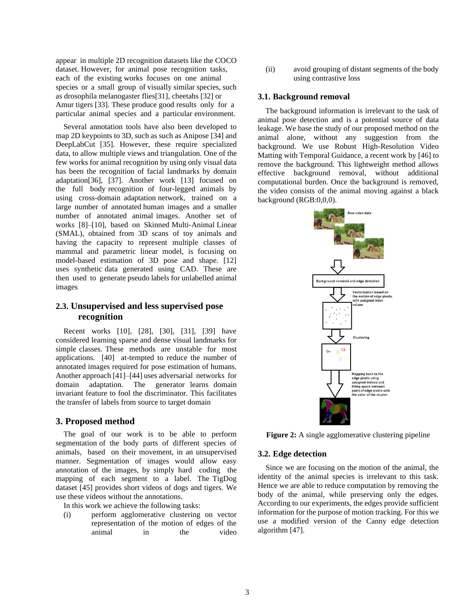appear in multiple 2D recognition datasets like the COCO dataset. However, for animal pose recognition tasks, each of the existing works focuses on one animal species or a small group of visually similar species, such as drosophila melanogaster flies[31], cheetahs [32] or Amur tigers [33]. These produce good results only for a particular animal species and a particular environment.

Several annotation tools have also been developed to map 2D keypoints to 3D, such as such as Anipose [34] and DeepLabCut [35]. However, these require specialized data, to allow multiple views and triangulation. One of the few works for animal recognition by using only visual data has been the recognition of facial landmarks by domain adaptation[36], [37]. Another work [13] focused on the full body recognition of four-legged animals by using cross-domain adaptation network, trained on a large number of annotated human images and a smaller number of annotated animal images. Another set of works [8]–[10], based on Skinned Multi-Animal Linear (SMAL), obtained from 3D scans of toy animals and having the capacity to represent multiple classes of mammal and parametric linear model, is focusing on model-based estimation of 3D pose and shape. [12] uses synthetic data generated using CAD. These are then used to generate pseudo labels for unlabelled animal images.

## **2.3. Unsupervised and less supervised pose recognition**

Recent works [10], [28], [30], [31], [39] have considered learning sparse and dense visual landmarks for simple classes. These methods are unstable for most applications. [40] at-tempted to reduce the number of annotated images required for pose estimation of humans. Another approach [41]–[44] uses adversarial networks for domain adaptation. The generator learns domain invariant feature to fool the discriminator. This facilitates the transfer of labels from source to target domain

## **3. Proposed method**

The goal of our work is to be able to perform segmentation of the body parts of different species of animals, based on their movement, in an unsupervised manner. Segmentation of images would allow easy annotation of the images, by simply hard coding the mapping of each segment to a label. The TigDog dataset [45] provides short videos of dogs and tigers. We use these videos without the annotations.

In this work we achieve the following tasks:

(i) perform agglomerative clustering on vector representation of the motion of edges of the animal in the video (ii) avoid grouping of distant segments of the body using contrastive loss

### **3.1. Background removal**

The background information is irrelevant to the task of animal pose detection and is a potential source of data leakage. We base the study of our proposed method on the animal alone, without any suggestion from the background. We use Robust High-Resolution Video Matting with Temporal Guidance, a recent work by [46] to remove the background. This lightweight method allows effective background removal, without additional computational burden. Once the background is removed, the video consists of the animal moving against a black background (RGB:0,0,0).



**Figure 2:** A single agglomerative clustering pipeline

#### **3.2. Edge detection**

Since we are focusing on the motion of the animal, the identity of the animal species is irrelevant to this task. Hence we are able to reduce computation by removing the body of the animal, while preserving only the edges. According to our experiments, the edges provide sufficient information for the purpose of motion tracking. For this we use a modified version of the Canny edge detection algorithm [47].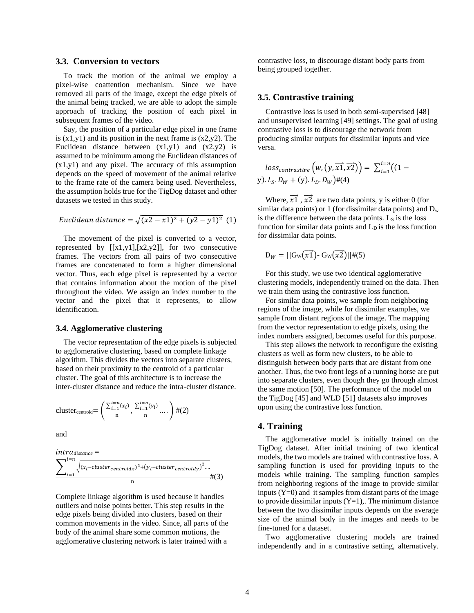#### **3.3. Conversion to vectors**

To track the motion of the animal we employ a pixel-wise coattention mechanism. Since we have removed all parts of the image, except the edge pixels of the animal being tracked, we are able to adopt the simple approach of tracking the position of each pixel in subsequent frames of the video.

Say, the position of a particular edge pixel in one frame is  $(x1,y1)$  and its position in the next frame is  $(x2,y2)$ . The Euclidean distance between  $(x1,y1)$  and  $(x2,y2)$  is assumed to be minimum among the Euclidean distances of (x1,y1) and any pixel. The accuracy of this assumption depends on the speed of movement of the animal relative to the frame rate of the camera being used. Nevertheless, the assumption holds true for the TigDog dataset and other datasets we tested in this study.

*Euclidean distance* = 
$$
\sqrt{(x^2 - x^2) + (y^2 - y^2)^2}
$$
 (1)

The movement of the pixel is converted to a vector, represented by  $[[x1,y1],[x2,y2]]$ , for two consecutive frames. The vectors from all pairs of two consecutive frames are concatenated to form a higher dimensional vector. Thus, each edge pixel is represented by a vector that contains information about the motion of the pixel throughout the video. We assign an index number to the vector and the pixel that it represents, to allow identification.

#### **3.4. Agglomerative clustering**

The vector representation of the edge pixels is subjected to agglomerative clustering, based on complete linkage algorithm. This divides the vectors into separate clusters, based on their proximity to the centroid of a particular cluster. The goal of this architecture is to increase the inter-cluster distance and reduce the intra-cluster distance.

cluster<sub>centroid</sub>= 
$$
\left(\frac{\sum_{i=1}^{i=n}(x_i)}{n}, \frac{\sum_{i=1}^{i=n}(y_i)}{n} \dots \right) \#(2)
$$

and

$$
\underbrace{\sum}_{i=1}^{i=n} \sqrt{(x_i - \text{cluster}_{centroid} x)^2 + (y_i - \text{cluster}_{centroid} y)^2 \dots} + (3)}_{n}
$$

Complete linkage algorithm is used because it handles outliers and noise points better. This step results in the edge pixels being divided into clusters, based on their common movements in the video. Since, all parts of the body of the animal share some common motions, the agglomerative clustering network is later trained with a

contrastive loss, to discourage distant body parts from being grouped together.

## **3.5. Contrastive training**

Contrastive loss is used in both semi-supervised [48] and unsupervised learning [49] settings. The goal of using contrastive loss is to discourage the network from producing similar outputs for dissimilar inputs and vice versa.

 $loss_{contrastive} (w, (y, \overrightarrow{x1}, \overrightarrow{x2})) = \sum_{i=1}^{i=n} ((1$  $i=1$ y).  $L_S$ .  $D_W$  + (y).  $L_D$ .  $D_W$ )#(4)

Where,  $\overrightarrow{x1}$ ,  $\overrightarrow{x2}$  are two data points, y is either 0 (for similar data points) or 1 (for dissimilar data points) and  $D_w$ is the difference between the data points.  $L<sub>S</sub>$  is the loss function for similar data points and  $L<sub>D</sub>$  is the loss function for dissimilar data points.

$$
\mathsf{D}_W = ||\mathsf{G}_{\mathsf{W}}(\overrightarrow{x1}) \cdot \mathsf{G}_{\mathsf{W}}(\overrightarrow{x2})|| \#(5)
$$

For this study, we use two identical agglomerative clustering models, independently trained on the data. Then we train them using the contrastive loss function.

For similar data points, we sample from neighboring regions of the image, while for dissimilar examples, we sample from distant regions of the image. The mapping from the vector representation to edge pixels, using the index numbers assigned, becomes useful for this purpose.

This step allows the network to reconfigure the existing clusters as well as form new clusters, to be able to distinguish between body parts that are distant from one another. Thus, the two front legs of a running horse are put into separate clusters, even though they go through almost the same motion [50]. The performance of the model on the TigDog [45] and WLD [51] datasets also improves upon using the contrastive loss function.

## **4. Training**

The agglomerative model is initially trained on the TigDog dataset. After initial training of two identical models, the two models are trained with contrastive loss. A sampling function is used for providing inputs to the models while training. The sampling function samples from neighboring regions of the image to provide similar inputs  $(Y=0)$  and it samples from distant parts of the image to provide dissimilar inputs  $(Y=1)$ ,. The minimum distance between the two dissimilar inputs depends on the average size of the animal body in the images and needs to be fine-tuned for a dataset.

Two agglomerative clustering models are trained independently and in a contrastive setting, alternatively.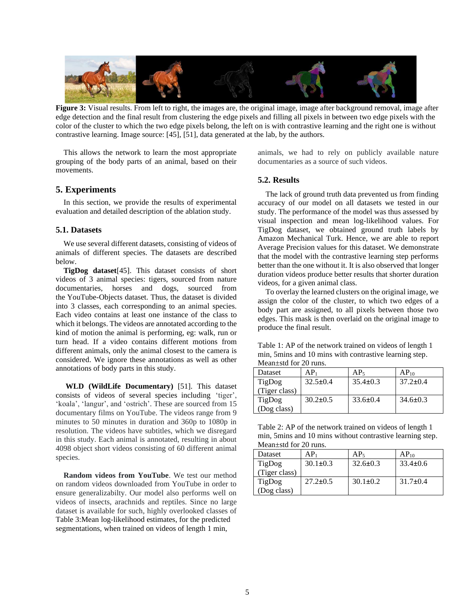

**Figure 3:** Visual results. From left to right, the images are, the original image, image after background removal, image after edge detection and the final result from clustering the edge pixels and filling all pixels in between two edge pixels with the color of the cluster to which the two edge pixels belong, the left on is with contrastive learning and the right one is without contrastive learning. Image source: [45], [51], data generated at the lab, by the authors.

This allows the network to learn the most appropriate grouping of the body parts of an animal, based on their movements.

## **5. Experiments**

In this section, we provide the results of experimental evaluation and detailed description of the ablation study.

#### **5.1. Datasets**

We use several different datasets, consisting of videos of animals of different species. The datasets are described below.

**TigDog dataset**[45]. This dataset consists of short videos of 3 animal species: tigers, sourced from nature documentaries, horses and dogs, sourced from the YouTube-Objects dataset. Thus, the dataset is divided into 3 classes, each corresponding to an animal species. Each video contains at least one instance of the class to which it belongs. The videos are annotated according to the kind of motion the animal is performing, eg: walk, run or turn head. If a video contains different motions from different animals, only the animal closest to the camera is considered. We ignore these annotations as well as other annotations of body parts in this study.

**WLD (WildLife Documentary)** [51]. This dataset consists of videos of several species including 'tiger', 'koala', 'langur', and 'ostrich'. These are sourced from 15 documentary films on YouTube. The videos range from 9 minutes to 50 minutes in duration and 360p to 1080p in resolution. The videos have subtitles, which we disregard in this study. Each animal is annotated, resulting in about 4098 object short videos consisting of 60 different animal species.

**Random videos from YouTube**. We test our method on random videos downloaded from YouTube in order to ensure generalizabilty. Our model also performs well on videos of insects, arachnids and reptiles. Since no large dataset is available for such, highly overlooked classes of Table 3:Mean log-likelihood estimates, for the predicted segmentations, when trained on videos of length 1 min,

animals, we had to rely on publicly available nature documentaries as a source of such videos.

## **5.2. Results**

The lack of ground truth data prevented us from finding accuracy of our model on all datasets we tested in our study. The performance of the model was thus assessed by visual inspection and mean log-likelihood values. For TigDog dataset, we obtained ground truth labels by Amazon Mechanical Turk. Hence, we are able to report Average Precision values for this dataset. We demonstrate that the model with the contrastive learning step performs better than the one without it. It is also observed that longer duration videos produce better results that shorter duration videos, for a given animal class.

To overlay the learned clusters on the original image, we assign the color of the cluster, to which two edges of a body part are assigned, to all pixels between those two edges. This mask is then overlaid on the original image to produce the final result.

Table 1: AP of the network trained on videos of length 1 min, 5mins and 10 mins with contrastive learning step. Mean±std for 20 runs.

| Dataset       | $AP_1$         | AP <sub>5</sub> | $AP_{10}$      |
|---------------|----------------|-----------------|----------------|
| TigDog        | $32.5 \pm 0.4$ | $35.4 \pm 0.3$  | $37.2 \pm 0.4$ |
| (Tiger class) |                |                 |                |
| TigDog        | $30.2 \pm 0.5$ | $33.6 \pm 0.4$  | $34.6 \pm 0.3$ |
| (Dog class)   |                |                 |                |

| Table 2: AP of the network trained on videos of length 1   |
|------------------------------------------------------------|
| min, 5 mins and 10 mins without contrastive learning step. |
| Mean $\pm$ std for 20 runs.                                |

| $1110011 - 00010101001001$ |                |                 |                |
|----------------------------|----------------|-----------------|----------------|
| Dataset                    | $AP_1$         | AP <sub>5</sub> | $AP_{10}$      |
| TigDog                     | $30.1 \pm 0.3$ | $32.6 \pm 0.3$  | $33.4 \pm 0.6$ |
| (Tiger class)              |                |                 |                |
| TigDog                     | $27.2 \pm 0.5$ | $30.1 \pm 0.2$  | $31.7 \pm 0.4$ |
| (Dog class)                |                |                 |                |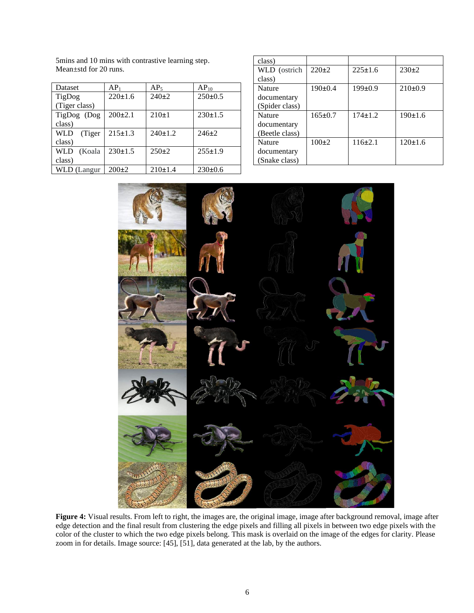| Dataset               | AP <sub>1</sub> | AP <sub>5</sub> | $AP_{10}$     |
|-----------------------|-----------------|-----------------|---------------|
| TigDog                | 220±1.6         | $240+2$         | $250 \pm 0.5$ |
| (Tiger class)         |                 |                 |               |
| TigDog (Dog           | $200\pm2.1$     | $210+1$         | $230 \pm 1.5$ |
| class)                |                 |                 |               |
| <b>WLD</b><br>(Tiger) | $215 \pm 1.3$   | 240±1.2         | $246 \pm 2$   |
| class)                |                 |                 |               |
| <b>WLD</b><br>(Koala  | 230±1.5         | $250+2$         | $255 \pm 1.9$ |
| class)                |                 |                 |               |
| <b>WLD</b> (Langur    | $200\pm2$       | 210±1.4         | $230\pm0.6$   |

5mins and 10 mins with contrastive learning step. Mean±std for 20 runs.

| class)         |               |               |               |
|----------------|---------------|---------------|---------------|
| WLD (ostrich   | $220 \pm 2$   | $225 \pm 1.6$ | $230+2$       |
| class)         |               |               |               |
| Nature         | $190 \pm 0.4$ | $199 \pm 0.9$ | $210\pm0.9$   |
| documentary    |               |               |               |
| (Spider class) |               |               |               |
| Nature         | $165 \pm 0.7$ | $174 \pm 1.2$ | 190±1.6       |
| documentary    |               |               |               |
| (Beetle class) |               |               |               |
| Nature         | $100+2$       | $116\pm2.1$   | $120 \pm 1.6$ |
| documentary    |               |               |               |
| (Snake class)  |               |               |               |



**Figure 4:** Visual results. From left to right, the images are, the original image, image after background removal, image after edge detection and the final result from clustering the edge pixels and filling all pixels in between two edge pixels with the color of the cluster to which the two edge pixels belong. This mask is overlaid on the image of the edges for clarity. Please zoom in for details. Image source: [45], [51], data generated at the lab, by the authors.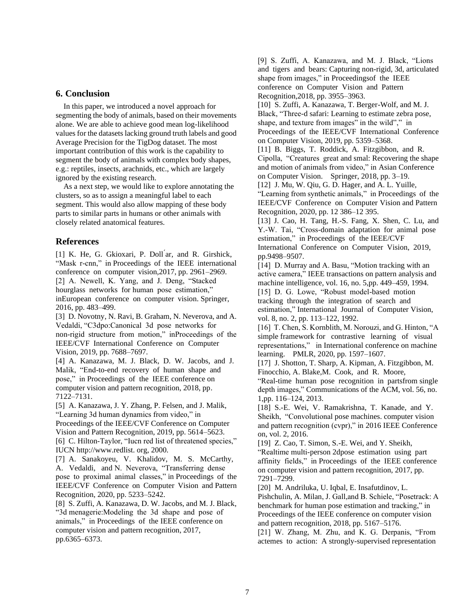## **6. Conclusion**

In this paper, we introduced a novel approach for segmenting the body of animals, based on their movements alone. We are able to achieve good mean log-likelihood values for the datasets lacking ground truth labels and good Average Precision for the TigDog dataset. The most important contribution of this work is the capability to segment the body of animals with complex body shapes, e.g.: reptiles, insects, arachnids, etc., which are largely ignored by the existing research.

As a next step, we would like to explore annotating the clusters, so as to assign a meaningful label to each segment. This would also allow mapping of these body parts to similar parts in humans or other animals with closely related anatomical features.

## **References**

[1] K. He, G. Gkioxari, P. Doll ar, and R. Girshick, "Mask r-cnn," in Proceedings of the IEEE international conference on computer vision,2017, pp. 2961–2969. [2] A. Newell, K. Yang, and J. Deng, "Stacked hourglass networks for human pose estimation," inEuropean conference on computer vision. Springer, 2016, pp. 483–499.

[3] D. Novotny, N. Ravi, B. Graham, N. Neverova, and A. Vedaldi, "C3dpo:Canonical 3d pose networks for non-rigid structure from motion," inProceedings of the IEEE/CVF International Conference on Computer Vision, 2019, pp. 7688–7697.

[4] A. Kanazawa, M. J. Black, D. W. Jacobs, and J. Malik, "End-to-end recovery of human shape and pose," in Proceedings of the IEEE conference on computer vision and pattern recognition, 2018, pp. 7122–7131.

[5] A. Kanazawa, J. Y. Zhang, P. Felsen, and J. Malik, "Learning 3d human dynamics from video," in Proceedings of the IEEE/CVF Conference on Computer Vision and Pattern Recognition, 2019, pp. 5614–5623. [6] C. Hilton-Taylor, "Iucn red list of threatened species,"

IUCN http://www.redlist. org, 2000.

[7] A. Sanakoyeu, V. Khalidov, M. S. McCarthy, A. Vedaldi, and N. Neverova, "Transferring dense pose to proximal animal classes," in Proceedings of the IEEE/CVF Conference on Computer Vision and Pattern Recognition, 2020, pp. 5233–5242.

[8] S. Zuffi, A. Kanazawa, D. W. Jacobs, and M. J. Black, "3d menagerie:Modeling the 3d shape and pose of animals," in Proceedings of the IEEE conference on computer vision and pattern recognition, 2017, pp.6365–6373.

[9] S. Zuffi, A. Kanazawa, and M. J. Black, "Lions and tigers and bears: Capturing non-rigid, 3d, articulated shape from images," in Proceedingsof the IEEE conference on Computer Vision and Pattern Recognition,2018, pp. 3955–3963.

[10] S. Zuffi, A. Kanazawa, T. Berger-Wolf, and M. J. Black, "Three-d safari: Learning to estimate zebra pose, shape, and texture from images" in the wild"," in Proceedings of the IEEE/CVF International Conference on Computer Vision, 2019, pp. 5359–5368.

[11] B. Biggs, T. Roddick, A. Fitzgibbon, and R. Cipolla, "Creatures great and smal: Recovering the shape and motion of animals from video," in Asian Conference on Computer Vision. Springer, 2018, pp. 3–19.

[12] J. Mu, W. Qiu, G. D. Hager, and A. L. Yuille, "Learning from synthetic animals," in Proceedings of the IEEE/CVF Conference on Computer Vision and Pattern Recognition, 2020, pp. 12 386–12 395.

[13] J. Cao, H. Tang, H.-S. Fang, X. Shen, C. Lu, and Y.-W. Tai, "Cross-domain adaptation for animal pose estimation," in Proceedings of the IEEE/CVF International Conference on Computer Vision, 2019, pp.9498–9507.

[14] D. Murray and A. Basu, "Motion tracking with an active camera," IEEE transactions on pattern analysis and machine intelligence, vol. 16, no. 5,pp. 449–459, 1994. [15] D. G. Lowe, "Robust model-based motion" tracking through the integration of search and estimation," International Journal of Computer Vision, vol. 8, no. 2, pp. 113–122, 1992.

[16] T. Chen, S. Kornblith, M. Norouzi, and G. Hinton, "A simple framework for contrastive learning of visual representations," in International conference on machine learning. PMLR, 2020, pp. 1597–1607.

[17] J. Shotton, T. Sharp, A. Kipman, A. Fitzgibbon, M. Finocchio, A. Blake,M. Cook, and R. Moore,

"Real-time human pose recognition in partsfrom single depth images," Communications of the ACM, vol. 56, no. 1,pp. 116–124, 2013.

[18] S.-E. Wei, V. Ramakrishna, T. Kanade, and Y. Sheikh, "Convolutional pose machines. computer vision and pattern recognition (cvpr)," in 2016 IEEE Conference on, vol. 2, 2016.

[19] Z. Cao, T. Simon, S.-E. Wei, and Y. Sheikh, "Realtime multi-person 2dpose estimation using part affinity fields," in Proceedings of the IEEE conference on computer vision and pattern recognition, 2017, pp. 7291–7299.

[20] M. Andriluka, U. Iqbal, E. Insafutdinov, L. Pishchulin, A. Milan, J. Gall,and B. Schiele, "Posetrack: A benchmark for human pose estimation and tracking," in Proceedings of the IEEE conference on computer vision and pattern recognition, 2018, pp. 5167–5176.

[21] W. Zhang, M. Zhu, and K. G. Derpanis, "From actemes to action: A strongly-supervised representation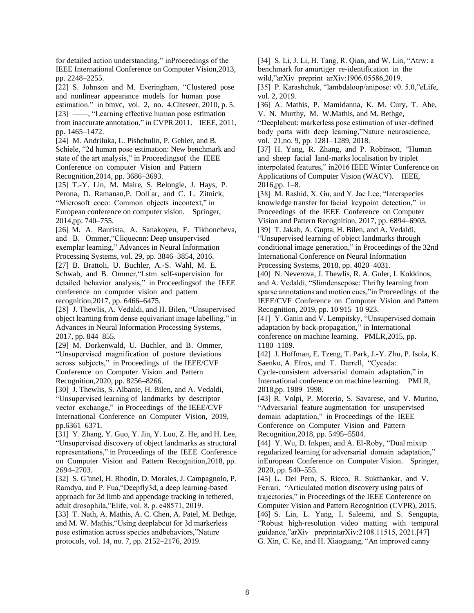for detailed action understanding," inProceedings of the IEEE International Conference on Computer Vision,2013, pp. 2248–2255.

[22] S. Johnson and M. Everingham, "Clustered pose and nonlinear appearance models for human pose estimation." in bmvc, vol. 2, no. 4.Citeseer, 2010, p. 5. [23] ——, "Learning effective human pose estimation from inaccurate annotation," in CVPR 2011. IEEE, 2011, pp. 1465–1472.

[24] M. Andriluka, L. Pishchulin, P. Gehler, and B. Schiele, "2d human pose estimation: New benchmark and state of the art analysis," in Proceedingsof the IEEE Conference on computer Vision and Pattern Recognition,2014, pp. 3686–3693.

[25] T.-Y. Lin, M. Maire, S. Belongie, J. Hays, P. Perona, D. Ramanan,P. Doll ́ar, and C. L. Zitnick, "Microsoft coco: Common objects incontext," in European conference on computer vision. Springer, 2014,pp. 740–755.

[26] M. A. Bautista, A. Sanakoyeu, E. Tikhoncheva, and B. Ommer,"Cliquecnn: Deep unsupervised exemplar learning," Advances in Neural Information Processing Systems, vol. 29, pp. 3846–3854, 2016.

[27] B. Brattoli, U. Buchler, A.-S. Wahl, M. E. Schwab, and B. Ommer,"Lstm self-supervision for detailed behavior analysis," in Proceedingsof the IEEE conference on computer vision and pattern recognition,2017, pp. 6466–6475.

[28] J. Thewlis, A. Vedaldi, and H. Bilen, "Unsupervised object learning from dense equivariant image labelling," in Advances in Neural Information Processing Systems, 2017, pp. 844–855.

[29] M. Dorkenwald, U. Buchler, and B. Ommer, "Unsupervised magnification of posture deviations across subjects," in Proceedings of the IEEE/CVF Conference on Computer Vision and Pattern Recognition,2020, pp. 8256–8266.

[30] J. Thewlis, S. Albanie, H. Bilen, and A. Vedaldi, "Unsupervised learning of landmarks by descriptor vector exchange," in Proceedings of the IEEE/CVF International Conference on Computer Vision, 2019, pp.6361–6371.

[31] Y. Zhang, Y. Guo, Y. Jin, Y. Luo, Z. He, and H. Lee, "Unsupervised discovery of object landmarks as structural representations," in Proceedings of the IEEE Conference on Computer Vision and Pattern Recognition,2018, pp. 2694–2703.

[32] S. G ünel, H. Rhodin, D. Morales, J. Campagnolo, P. Ramdya, and P. Fua,"Deepfly3d, a deep learning-based approach for 3d limb and appendage tracking in tethered, adult drosophila,"Elife, vol. 8, p. e48571, 2019.

[33] T. Nath, A. Mathis, A. C. Chen, A. Patel, M. Bethge, and M. W. Mathis,"Using deeplabcut for 3d markerless pose estimation across species andbehaviors,"Nature protocols, vol. 14, no. 7, pp. 2152–2176, 2019.

[34] S. Li, J. Li, H. Tang, R. Qian, and W. Lin, "Atrw: a benchmark for amurtiger re-identification in the wild,"arXiv preprint arXiv:1906.05586,2019. [35] P. Karashchuk, "lambdaloop/anipose: v0. 5.0,"eLife,

vol. 2, 2019. [36] A. Mathis, P. Mamidanna, K. M. Cury, T. Abe,

V. N. Murthy, M. W.Mathis, and M. Bethge, "Deeplabcut: markerless pose estimation of user-defined body parts with deep learning,"Nature neuroscience, vol. 21,no. 9, pp. 1281–1289, 2018.

[37] H. Yang, R. Zhang, and P. Robinson, "Human and sheep facial land-marks localisation by triplet interpolated features," in2016 IEEE Winter Conference on Applications of Computer Vision (WACV). IEEE, 2016,pp. 1–8.

[38] M. Rashid, X. Gu, and Y. Jae Lee, "Interspecies" knowledge transfer for facial keypoint detection," in Proceedings of the IEEE Conference on Computer Vision and Pattern Recognition, 2017, pp. 6894–6903. [39] T. Jakab, A. Gupta, H. Bilen, and A. Vedaldi, "Unsupervised learning of object landmarks through conditional image generation," in Proceedings of the 32nd International Conference on Neural Information Processing Systems, 2018, pp. 4020–4031.

[40] N. Neverova, J. Thewlis, R. A. Guler, I. Kokkinos, and A. Vedaldi, "Slimdensepose: Thrifty learning from sparse annotations and motion cues,"in Proceedings of the IEEE/CVF Conference on Computer Vision and Pattern Recognition, 2019, pp. 10 915–10 923.

[41] Y. Ganin and V. Lempitsky, "Unsupervised domain adaptation by back-propagation," in International conference on machine learning. PMLR,2015, pp. 1180–1189.

[42] J. Hoffman, E. Tzeng, T. Park, J.-Y. Zhu, P. Isola, K. Saenko, A. Efros, and T. Darrell, "Cycada: Cycle-consistent adversarial domain adaptation," in International conference on machine learning. PMLR, 2018,pp. 1989–1998.

[43] R. Volpi, P. Morerio, S. Savarese, and V. Murino, "Adversarial feature augmentation for unsupervised domain adaptation," in Proceedings of the IEEE Conference on Computer Vision and Pattern Recognition,2018, pp. 5495–5504.

[44] Y. Wu, D. Inkpen, and A. El-Roby, "Dual mixup" regularized learning for adversarial domain adaptation," inEuropean Conference on Computer Vision. Springer, 2020, pp. 540–555.

[45] L. Del Pero, S. Ricco, R. Sukthankar, and V. Ferrari, "Articulated motion discovery using pairs of trajectories," in Proceedings of the IEEE Conference on Computer Vision and Pattern Recognition (CVPR), 2015. [46] S. Lin, L. Yang, I. Saleemi, and S. Sengupta, "Robust high-resolution video matting with temporal guidance,"arXiv preprintarXiv:2108.11515, 2021.[47] G. Xin, C. Ke, and H. Xiaoguang, "An improved canny